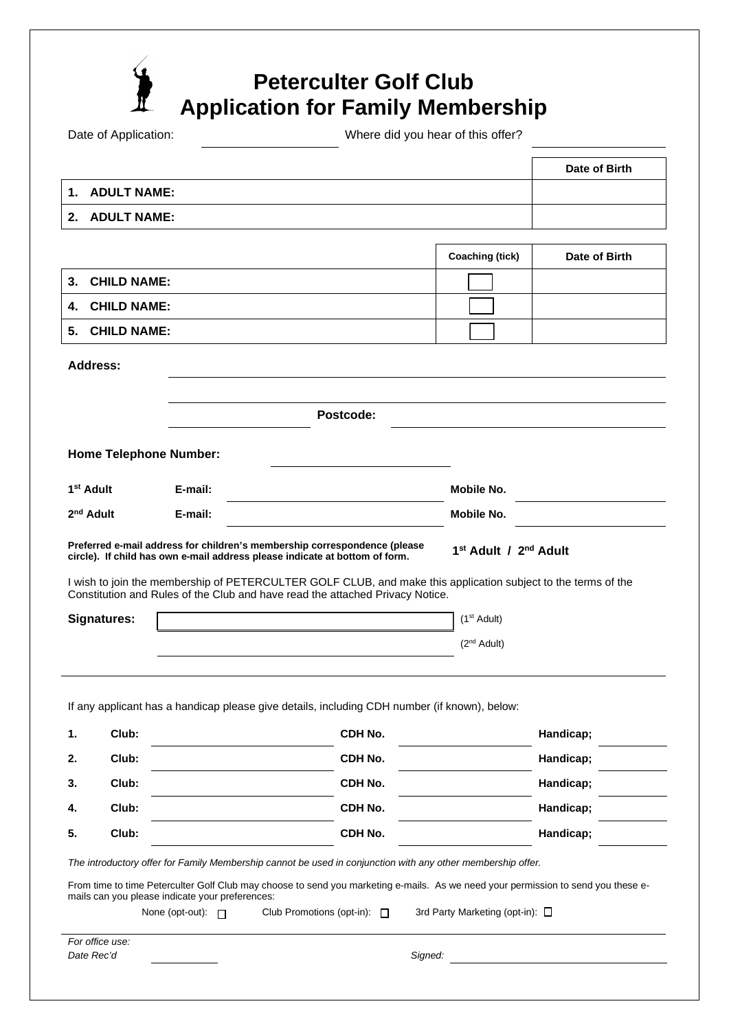|                            |                               |         |                                                                                                                                                          | <b>Application for Family Membership</b>      |                        |
|----------------------------|-------------------------------|---------|----------------------------------------------------------------------------------------------------------------------------------------------------------|-----------------------------------------------|------------------------|
|                            | Date of Application:          |         |                                                                                                                                                          | Where did you hear of this offer?             |                        |
|                            |                               |         |                                                                                                                                                          |                                               | Date of Birth          |
| 1.                         | <b>ADULT NAME:</b>            |         |                                                                                                                                                          |                                               |                        |
| 2.                         | <b>ADULT NAME:</b>            |         |                                                                                                                                                          |                                               |                        |
|                            |                               |         |                                                                                                                                                          | <b>Coaching (tick)</b>                        | Date of Birth          |
| 3.                         | <b>CHILD NAME:</b>            |         |                                                                                                                                                          |                                               |                        |
| <b>CHILD NAME:</b><br>4.   |                               |         |                                                                                                                                                          |                                               |                        |
| <b>CHILD NAME:</b><br>5.   |                               |         |                                                                                                                                                          |                                               |                        |
| <b>Address:</b>            |                               |         |                                                                                                                                                          |                                               |                        |
|                            |                               |         |                                                                                                                                                          |                                               |                        |
|                            |                               |         | Postcode:                                                                                                                                                |                                               |                        |
|                            |                               |         |                                                                                                                                                          |                                               |                        |
|                            |                               |         |                                                                                                                                                          |                                               |                        |
|                            | <b>Home Telephone Number:</b> |         |                                                                                                                                                          |                                               |                        |
| 1 <sup>st</sup> Adult      |                               | E-mail: |                                                                                                                                                          | Mobile No.                                    |                        |
|                            |                               | E-mail: |                                                                                                                                                          | Mobile No.                                    |                        |
|                            |                               |         | Preferred e-mail address for children's membership correspondence (please<br>circle). If child has own e-mail address please indicate at bottom of form. | 1 <sup>st</sup> Adult / 2 <sup>nd</sup> Adult |                        |
| 2 <sup>nd</sup> Adult      |                               |         | I wish to join the membership of PETERCULTER GOLF CLUB, and make this application subject to the terms of the                                            |                                               |                        |
|                            |                               |         | Constitution and Rules of the Club and have read the attached Privacy Notice.                                                                            |                                               |                        |
| <b>Signatures:</b>         |                               |         |                                                                                                                                                          | $(1st$ Adult)                                 |                        |
|                            |                               |         |                                                                                                                                                          | (2 <sup>nd</sup> Adult)                       |                        |
|                            |                               |         |                                                                                                                                                          |                                               |                        |
|                            |                               |         | If any applicant has a handicap please give details, including CDH number (if known), below:                                                             |                                               |                        |
|                            | Club:                         |         | CDH No.                                                                                                                                                  |                                               | Handicap;              |
|                            | Club:                         |         | CDH No.                                                                                                                                                  |                                               | Handicap;              |
|                            | Club:                         |         | CDH No.                                                                                                                                                  |                                               | Handicap;              |
| 1.<br>2.<br>3.<br>4.<br>5. | Club:<br>Club:                |         | CDH No.<br>CDH No.                                                                                                                                       |                                               | Handicap;<br>Handicap; |

*For office use:*  Date Rec'd **Container Container Container Container Container Container Container Container Container Container**